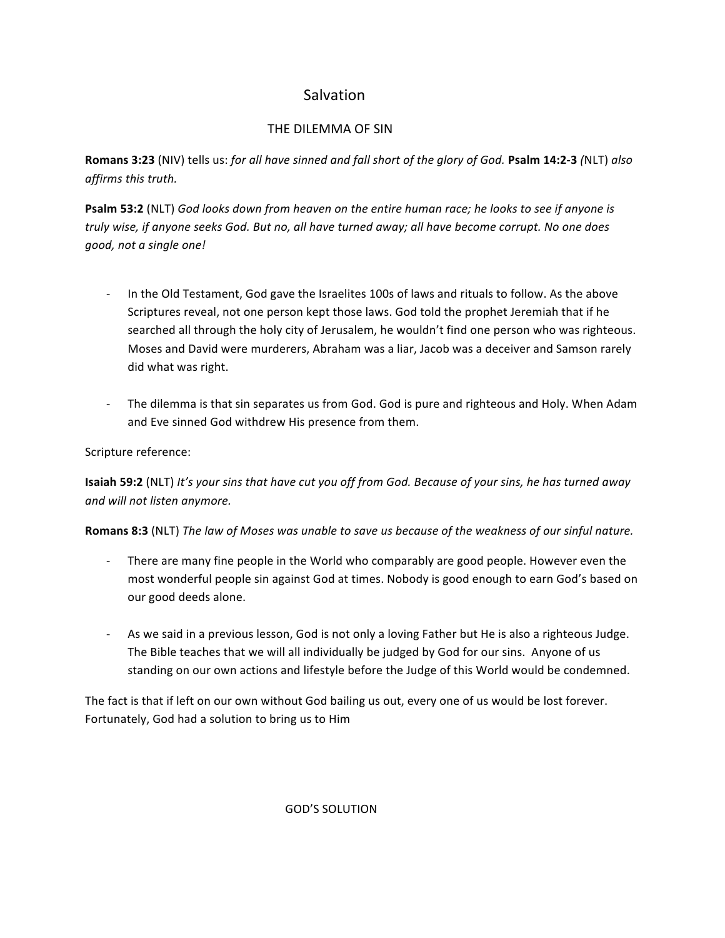# **Salvation**

## THE DILEMMA OF SIN

**Romans 3:23** (NIV) tells us: for all have sinned and fall short of the glory of God. **Psalm 14:2-3** (NLT) also *affirms this truth.*

**Psalm 53:2** (NLT) God looks down from heaven on the entire human race; he looks to see if anyone is *truly wise, if anyone seeks God. But no, all have turned away; all have become corrupt. No one does good, not a single one!*

- In the Old Testament, God gave the Israelites 100s of laws and rituals to follow. As the above Scriptures reveal, not one person kept those laws. God told the prophet Jeremiah that if he searched all through the holy city of Jerusalem, he wouldn't find one person who was righteous. Moses and David were murderers, Abraham was a liar, Jacob was a deceiver and Samson rarely did what was right.
- The dilemma is that sin separates us from God. God is pure and righteous and Holy. When Adam and Eve sinned God withdrew His presence from them.

## Scripture reference:

**Isaiah 59:2** (NLT) *It's your sins that have cut you off from God. Because of your sins, he has turned away and will not listen anymore.*

**Romans 8:3** (NLT) *The law of Moses was unable to save us because of the weakness of our sinful nature.* 

- There are many fine people in the World who comparably are good people. However even the most wonderful people sin against God at times. Nobody is good enough to earn God's based on our good deeds alone.
- As we said in a previous lesson, God is not only a loving Father but He is also a righteous Judge. The Bible teaches that we will all individually be judged by God for our sins. Anyone of us standing on our own actions and lifestyle before the Judge of this World would be condemned.

The fact is that if left on our own without God bailing us out, every one of us would be lost forever. Fortunately, God had a solution to bring us to Him

 GOD'S SOLUTION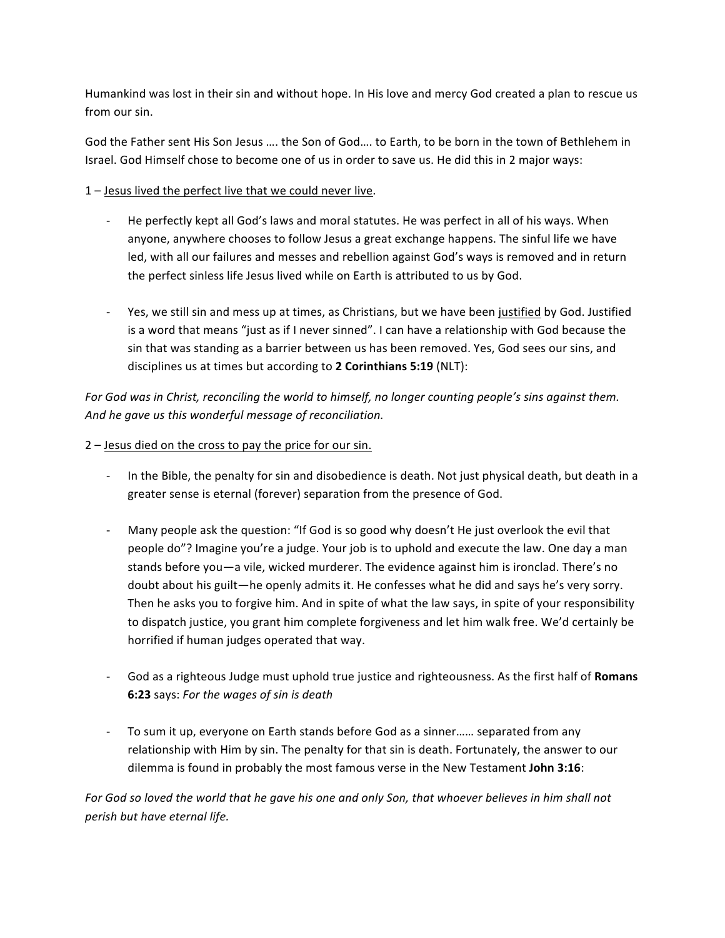Humankind was lost in their sin and without hope. In His love and mercy God created a plan to rescue us from our sin.

God the Father sent His Son Jesus .... the Son of God.... to Earth, to be born in the town of Bethlehem in Israel. God Himself chose to become one of us in order to save us. He did this in 2 major ways:

 $1$  – Jesus lived the perfect live that we could never live.

- He perfectly kept all God's laws and moral statutes. He was perfect in all of his ways. When anyone, anywhere chooses to follow Jesus a great exchange happens. The sinful life we have led, with all our failures and messes and rebellion against God's ways is removed and in return the perfect sinless life Jesus lived while on Earth is attributed to us by God.
- Yes, we still sin and mess up at times, as Christians, but we have been justified by God. Justified is a word that means "just as if I never sinned". I can have a relationship with God because the sin that was standing as a barrier between us has been removed. Yes, God sees our sins, and disciplines us at times but according to 2 Corinthians 5:19 (NLT):

For God was in Christ, reconciling the world to himself, no longer counting people's sins against them. And he gave us this wonderful message of reconciliation.

#### $2$  – Jesus died on the cross to pay the price for our sin.

- In the Bible, the penalty for sin and disobedience is death. Not just physical death, but death in a greater sense is eternal (forever) separation from the presence of God.
- Many people ask the question: "If God is so good why doesn't He just overlook the evil that people do"? Imagine you're a judge. Your job is to uphold and execute the law. One day a man stands before you—a vile, wicked murderer. The evidence against him is ironclad. There's no doubt about his guilt—he openly admits it. He confesses what he did and says he's very sorry. Then he asks you to forgive him. And in spite of what the law says, in spite of your responsibility to dispatch justice, you grant him complete forgiveness and let him walk free. We'd certainly be horrified if human judges operated that way.
- God as a righteous Judge must uphold true justice and righteousness. As the first half of Romans **6:23** says: For the wages of sin is death
- To sum it up, everyone on Earth stands before God as a sinner...... separated from any relationship with Him by sin. The penalty for that sin is death. Fortunately, the answer to our dilemma is found in probably the most famous verse in the New Testament John 3:16:

*For* God so loved the world that he gave his one and only Son, that whoever believes in him shall not *perish but have eternal life.*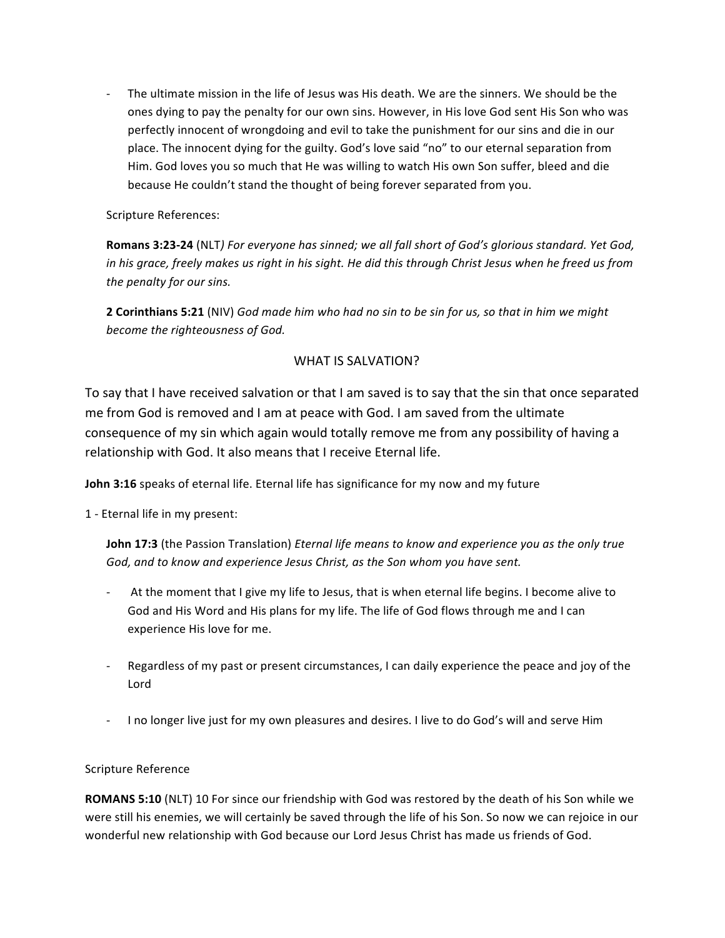The ultimate mission in the life of Jesus was His death. We are the sinners. We should be the ones dying to pay the penalty for our own sins. However, in His love God sent His Son who was perfectly innocent of wrongdoing and evil to take the punishment for our sins and die in our place. The innocent dying for the guilty. God's love said "no" to our eternal separation from Him. God loves you so much that He was willing to watch His own Son suffer, bleed and die because He couldn't stand the thought of being forever separated from you.

Scripture References:

**Romans 3:23-24** (NLT) For everyone has sinned; we all fall short of God's glorious standard. Yet God, *in* his grace, freely makes us right in his sight. He did this through Christ Jesus when he freed us from the penalty for our sins.

**2 Corinthians 5:21** (NIV) God made him who had no sin to be sin for us, so that in him we might become the righteousness of God.

## WHAT IS SALVATION?

To say that I have received salvation or that I am saved is to say that the sin that once separated me from God is removed and I am at peace with God. I am saved from the ultimate consequence of my sin which again would totally remove me from any possibility of having a relationship with God. It also means that I receive Eternal life.

**John 3:16** speaks of eternal life. Eternal life has significance for my now and my future

1 - Eternal life in my present:

**John 17:3** (the Passion Translation) *Eternal life means to know and experience you as the only true* God, and to know and experience Jesus Christ, as the Son whom you have sent.

- At the moment that I give my life to Jesus, that is when eternal life begins. I become alive to God and His Word and His plans for my life. The life of God flows through me and I can experience His love for me.
- Regardless of my past or present circumstances, I can daily experience the peace and joy of the Lord
- I no longer live just for my own pleasures and desires. I live to do God's will and serve Him

#### Scripture Reference

**ROMANS 5:10** (NLT) 10 For since our friendship with God was restored by the death of his Son while we were still his enemies, we will certainly be saved through the life of his Son. So now we can rejoice in our wonderful new relationship with God because our Lord Jesus Christ has made us friends of God.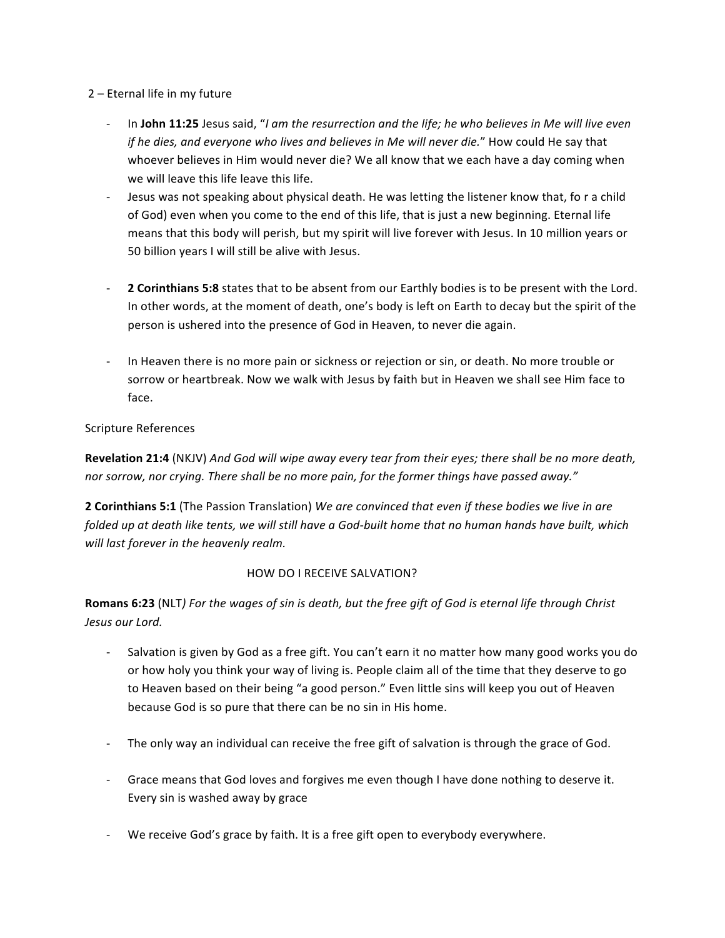#### $2$  – Eternal life in my future

- In John 11:25 Jesus said, "I am the resurrection and the life; he who believes in Me will live even *if* he dies, and everyone who lives and believes in Me will never die." How could He say that whoever believes in Him would never die? We all know that we each have a day coming when we will leave this life leave this life.
- Jesus was not speaking about physical death. He was letting the listener know that, fo r a child of God) even when you come to the end of this life, that is just a new beginning. Eternal life means that this body will perish, but my spirit will live forever with Jesus. In 10 million years or 50 billion years I will still be alive with Jesus.
- **2 Corinthians 5:8** states that to be absent from our Earthly bodies is to be present with the Lord. In other words, at the moment of death, one's body is left on Earth to decay but the spirit of the person is ushered into the presence of God in Heaven, to never die again.
- In Heaven there is no more pain or sickness or rejection or sin, or death. No more trouble or sorrow or heartbreak. Now we walk with Jesus by faith but in Heaven we shall see Him face to face.

## Scripture References

**Revelation 21:4** (NKJV) *And God will wipe away every tear from their eyes; there shall be no more death,* nor sorrow, nor crying. There shall be no more pain, for the former things have passed away."

**2 Corinthians 5:1** (The Passion Translation) We are convinced that even if these bodies we live in are *folded* up at death like tents, we will still have a God-built home that no human hands have built, which will last forever in the heavenly realm.

## **HOW DO I RECEIVE SALVATION?**

**Romans 6:23** (NLT) For the wages of sin is death, but the free gift of God is eternal life through Christ *Jesus our Lord.*

- Salvation is given by God as a free gift. You can't earn it no matter how many good works you do or how holy you think your way of living is. People claim all of the time that they deserve to go to Heaven based on their being "a good person." Even little sins will keep you out of Heaven because God is so pure that there can be no sin in His home.
- The only way an individual can receive the free gift of salvation is through the grace of God.
- Grace means that God loves and forgives me even though I have done nothing to deserve it. Every sin is washed away by grace
- We receive God's grace by faith. It is a free gift open to everybody everywhere.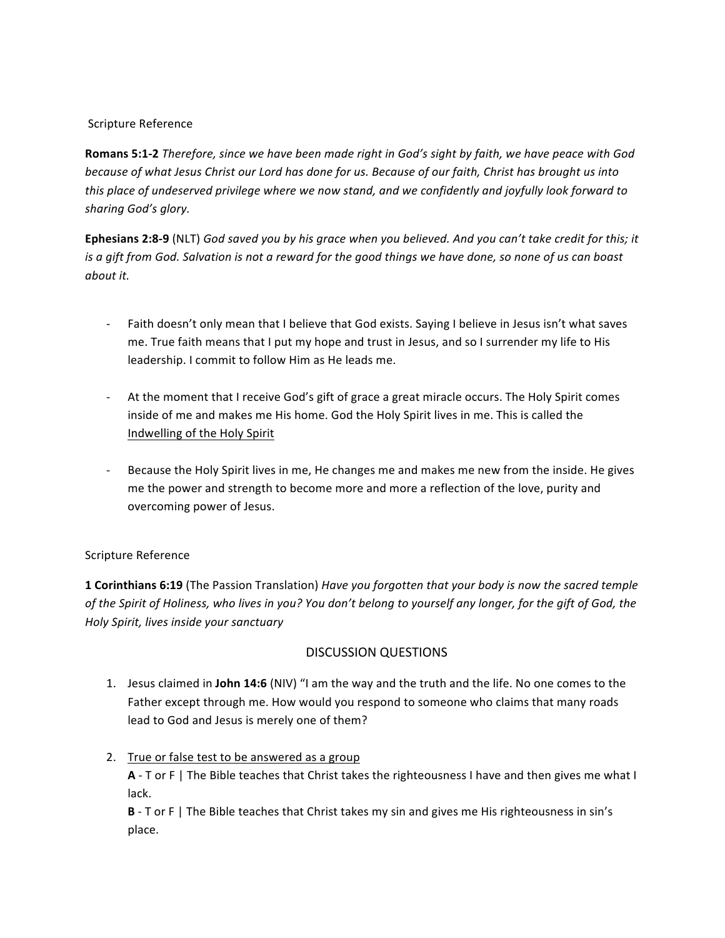#### Scripture Reference

**Romans 5:1-2** *Therefore, since we have been made right in God's sight by faith, we have peace with God because of what Jesus Christ our Lord has done for us. Because of our faith, Christ has brought us into this* place of undeserved privilege where we now stand, and we confidently and joyfully look forward to *sharing God's glory.*

**Ephesians 2:8-9** (NLT) God saved you by his grace when you believed. And you can't take credit for this; it *is* a gift from God. Salvation is not a reward for the good things we have done, so none of us can boast *about it.*

- Faith doesn't only mean that I believe that God exists. Saying I believe in Jesus isn't what saves me. True faith means that I put my hope and trust in Jesus, and so I surrender my life to His leadership. I commit to follow Him as He leads me.
- At the moment that I receive God's gift of grace a great miracle occurs. The Holy Spirit comes inside of me and makes me His home. God the Holy Spirit lives in me. This is called the Indwelling of the Holy Spirit
- Because the Holy Spirit lives in me, He changes me and makes me new from the inside. He gives me the power and strength to become more and more a reflection of the love, purity and overcoming power of Jesus.

#### Scripture Reference

**1 Corinthians 6:19** (The Passion Translation) *Have you forgotten that your body is now the sacred temple* of the Spirit of Holiness, who lives in you? You don't belong to yourself any longer, for the gift of God, the *Holy Spirit, lives inside your sanctuary*

## DISCUSSION QUESTIONS

- 1. Jesus claimed in John 14:6 (NIV) "I am the way and the truth and the life. No one comes to the Father except through me. How would you respond to someone who claims that many roads lead to God and Jesus is merely one of them?
- 2. True or false test to be answered as a group **A** - T or F | The Bible teaches that Christ takes the righteousness I have and then gives me what I lack.

**B** - T or F | The Bible teaches that Christ takes my sin and gives me His righteousness in sin's place.